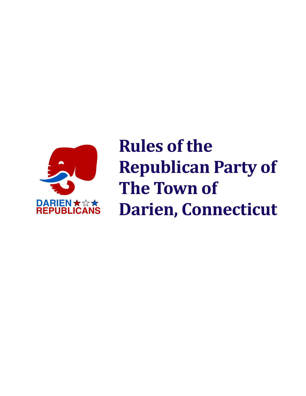

**Rules of the Republican Party of The Town of Darien, Connecticut**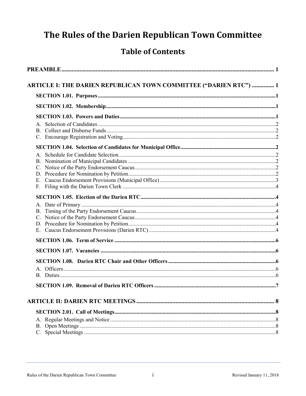# The Rules of the Darien Republican Town Committee

# **Table of Contents**

| ARTICLE I: THE DARIEN REPUBLICAN TOWN COMMITTEE ("DARIEN RTC")  1 |  |
|-------------------------------------------------------------------|--|
|                                                                   |  |
|                                                                   |  |
|                                                                   |  |
|                                                                   |  |
|                                                                   |  |
|                                                                   |  |
|                                                                   |  |
|                                                                   |  |
|                                                                   |  |
|                                                                   |  |
|                                                                   |  |
| E.                                                                |  |
|                                                                   |  |
|                                                                   |  |
|                                                                   |  |
|                                                                   |  |
|                                                                   |  |
|                                                                   |  |
|                                                                   |  |
|                                                                   |  |
|                                                                   |  |
|                                                                   |  |
|                                                                   |  |
|                                                                   |  |
|                                                                   |  |
|                                                                   |  |
|                                                                   |  |
|                                                                   |  |
|                                                                   |  |
|                                                                   |  |
|                                                                   |  |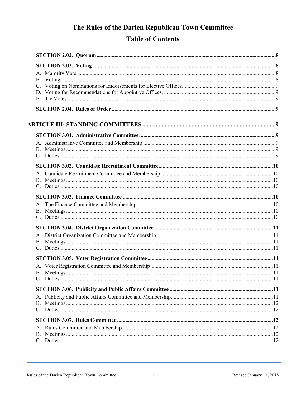# The Rules of the Darien Republican Town Committee **Table of Contents**

| $E_{\cdot}$ |  |
|-------------|--|
|             |  |
|             |  |
|             |  |
|             |  |
|             |  |
|             |  |
|             |  |
|             |  |
|             |  |
|             |  |
|             |  |
|             |  |
|             |  |
|             |  |
|             |  |
|             |  |
|             |  |
|             |  |
|             |  |
|             |  |
|             |  |
|             |  |
|             |  |
|             |  |
|             |  |
|             |  |
|             |  |
|             |  |
|             |  |
|             |  |
|             |  |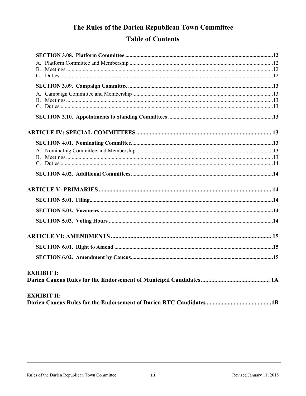# The Rules of the Darien Republican Town Committee **Table of Contents**

| <b>EXHIBIT I:</b>  |  |
|--------------------|--|
|                    |  |
| <b>EXHIBIT II:</b> |  |
|                    |  |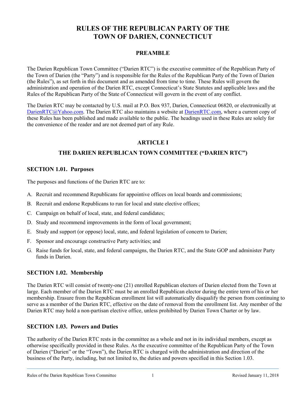# **RULES OF THE REPUBLICAN PARTY OF THE TOWN OF DARIEN, CONNECTICUT**

# **PREAMBLE**

The Darien Republican Town Committee ("Darien RTC") is the executive committee of the Republican Party of the Town of Darien (the "Party") and is responsible for the Rules of the Republican Party of the Town of Darien (the Rules"), as set forth in this document and as amended from time to time. These Rules will govern the administration and operation of the Darien RTC, except Connecticut's State Statutes and applicable laws and the Rules of the Republican Party of the State of Connecticut will govern in the event of any conflict.

The Darien RTC may be contacted by U.S. mail at P.O. Box 937, Darien, Connecticut 06820, or electronically at [DarienRTC@Yahoo.com.](mailto:DarienRTC@Yahoo.com) The Darien RTC also maintains a website at [DarienRTC.com,](http://www.darienrtc.com/) where a current copy of these Rules has been published and made available to the public. The headings used in these Rules are solely for the convenience of the reader and are not deemed part of any Rule.

# **ARTICLE I**

# **THE DARIEN REPUBLICAN TOWN COMMITTEE ("DARIEN RTC")**

#### **SECTION 1.01. Purposes**

The purposes and functions of the Darien RTC are to:

- A. Recruit and recommend Republicans for appointive offices on local boards and commissions;
- B. Recruit and endorse Republicans to run for local and state elective offices;
- C. Campaign on behalf of local, state, and federal candidates;
- D. Study and recommend improvements in the form of local government;
- E. Study and support (or oppose) local, state, and federal legislation of concern to Darien;
- F. Sponsor and encourage constructive Party activities; and
- G. Raise funds for local, state, and federal campaigns, the Darien RTC, and the State GOP and administer Party funds in Darien.

#### **SECTION 1.02. Membership**

The Darien RTC will consist of twenty-one (21) enrolled Republican electors of Darien elected from the Town at large. Each member of the Darien RTC must be an enrolled Republican elector during the entire term of his or her membership. Erasure from the Republican enrollment list will automatically disqualify the person from continuing to serve as a member of the Darien RTC, effective on the date of removal from the enrollment list. Any member of the Darien RTC may hold a non-partisan elective office, unless prohibited by Darien Town Charter or by law.

# **SECTION 1.03. Powers and Duties**

The authority of the Darien RTC rests in the committee as a whole and not in its individual members, except as otherwise specifically provided in these Rules. As the executive committee of the Republican Party of the Town of Darien ("Darien" or the "Town"), the Darien RTC is charged with the administration and direction of the business of the Party, including, but not limited to, the duties and powers specified in this Section 1.03.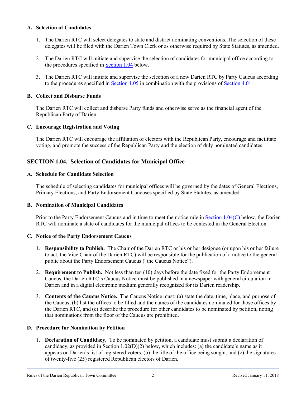#### **A. Selection of Candidates**

- 1. The Darien RTC will select delegates to state and district nominating conventions. The selection of these delegates will be filed with the Darien Town Clerk or as otherwise required by State Statutes, as amended.
- 2. The Darien RTC will initiate and supervise the selection of candidates for municipal office according to the procedures specified in [Section](#page-5-0) 1.04 below.
- 3. The Darien RTC will initiate and supervise the selection of a new Darien RTC by Party Caucus according to the procedures specified in [Section](#page-7-0) 1.05 in combination with the provisions of [Section](#page-16-0) 4.01.

#### **B. Collect and Disburse Funds**

The Darien RTC will collect and disburse Party funds and otherwise serve as the financial agent of the Republican Party of Darien.

#### **C. Encourage Registration and Voting**

The Darien RTC will encourage the affiliation of electors with the Republican Party, encourage and facilitate voting, and promote the success of the Republican Party and the election of duly nominated candidates.

# <span id="page-5-0"></span>**SECTION 1.04. Selection of Candidates for Municipal Office**

#### **A. Schedule for Candidate Selection**

The schedule of selecting candidates for municipal offices will be governed by the dates of General Elections, Primary Elections, and Party Endorsement Caucuses specified by State Statutes, as amended.

#### **B. Nomination of Municipal Candidates**

Prior to the Party Endorsement Caucus and in time to meet the notice rule in [Section](#page-5-1) 1.04(C) below, the Darien RTC will nominate a slate of candidates for the municipal offices to be contested in the General Election.

#### <span id="page-5-1"></span>**C. Notice of the Party Endorsement Caucus**

- 1. **Responsibility to Publish.** The Chair of the Darien RTC or his or her designee (or upon his or her failure to act, the Vice Chair of the Darien RTC) will be responsible for the publication of a notice to the general public about the Party Endorsement Caucus ("the Caucus Notice").
- 2. **Requirement to Publish.** Not less than ten (10) days before the date fixed for the Party Endorsement Caucus, the Darien RTC's Caucus Notice must be published in a newspaper with general circulation in Darien and in a digital electronic medium generally recognized for its Darien readership.
- 3. **Contents of the Caucus Notice.** The Caucus Notice must: (a) state the date, time, place, and purpose of the Caucus, (b) list the offices to be filled and the names of the candidates nominated for those offices by the Darien RTC, and (c) describe the procedure for other candidates to be nominated by petition, noting that nominations from the floor of the Caucus are prohibited.

#### **D. Procedure for Nomination by Petition**

1. **Declaration of Candidacy.** To be nominated by petition, a candidate must submit a declaration of candidacy, as provided in Section 1.02(D)(2) below, which includes: (a) the candidate's name as it appears on Darien's list of registered voters, (b) the title of the office being sought, and (c) the signatures of twenty-five (25) registered Republican electors of Darien.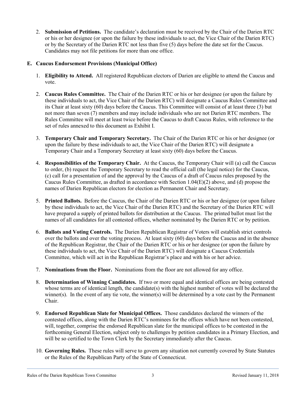2. **Submission of Petitions.** The candidate's declaration must be received by the Chair of the Darien RTC or his or her designee (or upon the failure by these individuals to act, the Vice Chair of the Darien RTC) or by the Secretary of the Darien RTC not less than five (5) days before the date set for the Caucus. Candidates may not file petitions for more than one office.

#### **E. Caucus Endorsement Provisions (Municipal Office)**

- 1. **Eligibility to Attend.** All registered Republican electors of Darien are eligible to attend the Caucus and vote.
- 2. **Caucus Rules Committee.** The Chair of the Darien RTC or his or her designee (or upon the failure by these individuals to act, the Vice Chair of the Darien RTC) will designate a Caucus Rules Committee and its Chair at least sixty (60) days before the Caucus. This Committee will consist of at least three (3) but not more than seven (7) members and may include individuals who are not Darien RTC members. The Rules Committee will meet at least twice before the Caucus to draft Caucus Rules, with reference to the set of rules annexed to this document as Exhibit I.
- 3. **Temporary Chair and Temporary Secretary.** The Chair of the Darien RTC or his or her designee (or upon the failure by these individuals to act, the Vice Chair of the Darien RTC) will designate a Temporary Chair and a Temporary Secretary at least sixty (60) days before the Caucus.
- 4. **Responsibilities of the Temporary Chair.** At the Caucus, the Temporary Chair will (a) call the Caucus to order, (b) request the Temporary Secretary to read the official call (the legal notice) for the Caucus, (c) call for a presentation of and the approval by the Caucus of a draft of Caucus rules proposed by the Caucus Rules Committee, as drafted in accordance with Section 1.04(E)(2) above, and (d) propose the names of Darien Republican electors for election as Permanent Chair and Secretary.
- 5. **Printed Ballots.** Before the Caucus, the Chair of the Darien RTC or his or her designee (or upon failure by these individuals to act, the Vice Chair of the Darien RTC) and the Secretary of the Darien RTC will have prepared a supply of printed ballots for distribution at the Caucus. The printed ballot must list the names of all candidates for all contested offices, whether nominated by the Darien RTC or by petition.
- 6. **Ballots and Voting Controls.** The Darien Republican Registrar of Voters will establish strict controls over the ballots and over the voting process. At least sixty (60) days before the Caucus and in the absence of the Republican Registrar, the Chair of the Darien RTC or his or her designee (or upon the failure by these individuals to act, the Vice Chair of the Darien RTC) will designate a Caucus Credentials Committee, which will act in the Republican Registrar's place and with his or her advice.
- 7. **Nominations from the Floor.** Nominations from the floor are not allowed for any office.
- 8. **Determination of Winning Candidates.** If two or more equal and identical offices are being contested whose terms are of identical length, the candidate(s) with the highest number of votes will be declared the winner(s). In the event of any tie vote, the winner(s) will be determined by a vote cast by the Permanent Chair.
- 9. **Endorsed Republican Slate for Municipal Offices.** Those candidates declared the winners of the contested offices, along with the Darien RTC's nominees for the offices which have not been contested, will, together, comprise the endorsed Republican slate for the municipal offices to be contested in the forthcoming General Election, subject only to challenges by petition candidates in a Primary Election, and will be so certified to the Town Clerk by the Secretary immediately after the Caucus.
- 10. **Governing Rules.** These rules will serve to govern any situation not currently covered by State Statutes or the Rules of the Republican Party of the State of Connecticut.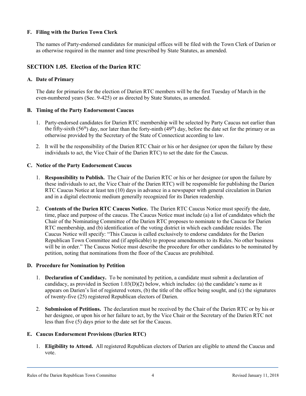#### **F. Filing with the Darien Town Clerk**

The names of Party-endorsed candidates for municipal offices will be filed with the Town Clerk of Darien or as otherwise required in the manner and time prescribed by State Statutes, as amended.

# <span id="page-7-0"></span>**SECTION 1.05. Election of the Darien RTC**

#### **A. Date of Primary**

The date for primaries for the election of Darien RTC members will be the first Tuesday of March in the even-numbered years (Sec. 9-425) or as directed by State Statutes, as amended.

#### **B. Timing of the Party Endorsement Caucus**

- 1. Party-endorsed candidates for Darien RTC membership will be selected by Party Caucus not earlier than the fifty-sixth (56<sup>th</sup>) day, nor later than the forty-ninth (49<sup>th</sup>) day, before the date set for the primary or as otherwise provided by the Secretary of the State of Connecticut according to law.
- 2. It will be the responsibility of the Darien RTC Chair or his or her designee (or upon the failure by these individuals to act, the Vice Chair of the Darien RTC) to set the date for the Caucus.

#### <span id="page-7-1"></span>**C. Notice of the Party Endorsement Caucus**

- 1. **Responsibility to Publish.** The Chair of the Darien RTC or his or her designee (or upon the failure by these individuals to act, the Vice Chair of the Darien RTC) will be responsible for publishing the Darien RTC Caucus Notice at least ten (10) days in advance in a newspaper with general circulation in Darien and in a digital electronic medium generally recognized for its Darien readership.
- 2. **Contents of the Darien RTC Caucus Notice.** The Darien RTC Caucus Notice must specify the date, time, place and purpose of the caucus. The Caucus Notice must include (a) a list of candidates which the Chair of the Nominating Committee of the Darien RTC proposes to nominate to the Caucus for Darien RTC membership, and (b) identification of the voting district in which each candidate resides. The Caucus Notice will specify: "This Caucus is called exclusively to endorse candidates for the Darien Republican Town Committee and (if applicable) to propose amendments to its Rules. No other business will be in order." The Caucus Notice must describe the procedure for other candidates to be nominated by petition, noting that nominations from the floor of the Caucus are prohibited.

#### **D. Procedure for Nomination by Petition**

- 1. **Declaration of Candidacy.** To be nominated by petition, a candidate must submit a declaration of candidacy, as provided in Section  $1.03(D)(2)$  below, which includes: (a) the candidate's name as it appears on Darien's list of registered voters, (b) the title of the office being sought, and (c) the signatures of twenty-five (25) registered Republican electors of Darien.
- 2. **Submission of Petitions.** The declaration must be received by the Chair of the Darien RTC or by his or her designee, or upon his or her failure to act, by the Vice Chair or the Secretary of the Darien RTC not less than five (5) days prior to the date set for the Caucus.

#### **E. Caucus Endorsement Provisions (Darien RTC)**

1. **Eligibility to Attend.** All registered Republican electors of Darien are eligible to attend the Caucus and vote.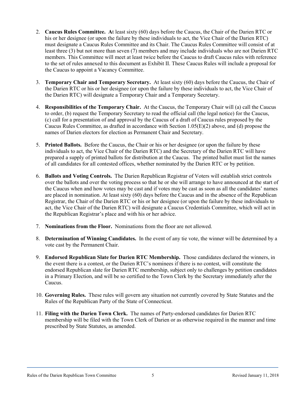- 2. **Caucus Rules Committee. A**t least sixty (60) days before the Caucus, the Chair of the Darien RTC or his or her designee (or upon the failure by these individuals to act, the Vice Chair of the Darien RTC) must designate a Caucus Rules Committee and its Chair. The Caucus Rules Committee will consist of at least three (3) but not more than seven (7) members and may include individuals who are not Darien RTC members. This Committee will meet at least twice before the Caucus to draft Caucus rules with reference to the set of rules annexed to this document as Exhibit II. These Caucus Rules will include a proposal for the Caucus to appoint a Vacancy Committee.
- 3. **Temporary Chair and Temporary Secretary.** At least sixty (60) days before the Caucus, the Chair of the Darien RTC or his or her designee (or upon the failure by these individuals to act, the Vice Chair of the Darien RTC) will designate a Temporary Chair and a Temporary Secretary.
- 4. **Responsibilities of the Temporary Chair.** At the Caucus, the Temporary Chair will (a) call the Caucus to order, (b) request the Temporary Secretary to read the official call (the legal notice) for the Caucus, (c) call for a presentation of and approval by the Caucus of a draft of Caucus rules proposed by the Caucus Rules Committee, as drafted in accordance with Section 1.05(E)(2) above, and (d) propose the names of Darien electors for election as Permanent Chair and Secretary.
- 5. **Printed Ballots.** Before the Caucus, the Chair or his or her designee (or upon the failure by these individuals to act, the Vice Chair of the Darien RTC) and the Secretary of the Darien RTC will have prepared a supply of printed ballots for distribution at the Caucus. The printed ballot must list the names of all candidates for all contested offices, whether nominated by the Darien RTC or by petition.
- 6. **Ballots and Voting Controls.** The Darien Republican Registrar of Voters will establish strict controls over the ballots and over the voting process so that he or she will arrange to have announced at the start of the Caucus when and how votes may be cast and if votes may be cast as soon as all the candidates' names are placed in nomination. At least sixty (60) days before the Caucus and in the absence of the Republican Registrar, the Chair of the Darien RTC or his or her designee (or upon the failure by these individuals to act, the Vice Chair of the Darien RTC) will designate a Caucus Credentials Committee, which will act in the Republican Registrar's place and with his or her advice.
- 7. **Nominations from the Floor.** Nominations from the floor are not allowed.
- 8. **Determination of Winning Candidates.** In the event of any tie vote, the winner will be determined by a vote cast by the Permanent Chair.
- 9. **Endorsed Republican Slate for Darien RTC Membership.** Those candidates declared the winners, in the event there is a contest, or the Darien RTC's nominees if there is no contest, will constitute the endorsed Republican slate for Darien RTC membership, subject only to challenges by petition candidates in a Primary Election, and will be so certified to the Town Clerk by the Secretary immediately after the Caucus.
- 10. **Governing Rules.** These rules will govern any situation not currently covered by State Statutes and the Rules of the Republican Party of the State of Connecticut.
- 11. **Filing with the Darien Town Clerk.** The names of Party-endorsed candidates for Darien RTC membership will be filed with the Town Clerk of Darien or as otherwise required in the manner and time prescribed by State Statutes, as amended.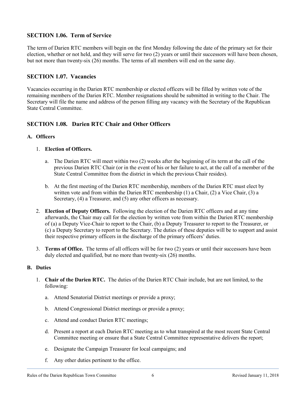# **SECTION 1.06. Term of Service**

The term of Darien RTC members will begin on the first Monday following the date of the primary set for their election, whether or not held, and they will serve for two (2) years or until their successors will have been chosen, but not more than twenty-six (26) months. The terms of all members will end on the same day.

#### **SECTION 1.07. Vacancies**

Vacancies occurring in the Darien RTC membership or elected officers will be filled by written vote of the remaining members of the Darien RTC. Member resignations should be submitted in writing to the Chair. The Secretary will file the name and address of the person filling any vacancy with the Secretary of the Republican State Central Committee.

# **SECTION 1.08. Darien RTC Chair and Other Officers**

#### **A. Officers**

#### 1. **Election of Officers.**

- a. The Darien RTC will meet within two (2) weeks after the beginning of its term at the call of the previous Darien RTC Chair (or in the event of his or her failure to act, at the call of a member of the State Central Committee from the district in which the previous Chair resides).
- b. At the first meeting of the Darien RTC membership, members of the Darien RTC must elect by written vote and from within the Darien RTC membership (1) a Chair, (2) a Vice Chair, (3) a Secretary, (4) a Treasurer, and (5) any other officers as necessary.
- 2. **Election of Deputy Officers.** Following the election of the Darien RTC officers and at any time afterwards, the Chair may call for the election by written vote from within the Darien RTC membership of (a) a Deputy Vice-Chair to report to the Chair, (b) a Deputy Treasurer to report to the Treasurer, or (c) a Deputy Secretary to report to the Secretary. The duties of these deputies will be to support and assist their respective primary officers in the discharge of the primary officers' duties.
- 3. **Terms of Office.** The terms of all officers will be for two (2) years or until their successors have been duly elected and qualified, but no more than twenty-six (26) months.

#### **B. Duties**

- 1. **Chair of the Darien RTC.** The duties of the Darien RTC Chair include, but are not limited, to the following:
	- a. Attend Senatorial District meetings or provide a proxy;
	- b. Attend Congressional District meetings or provide a proxy;
	- c. Attend and conduct Darien RTC meetings;
	- d. Present a report at each Darien RTC meeting as to what transpired at the most recent State Central Committee meeting or ensure that a State Central Committee representative delivers the report;
	- e. Designate the Campaign Treasurer for local campaigns; and
	- f. Any other duties pertinent to the office.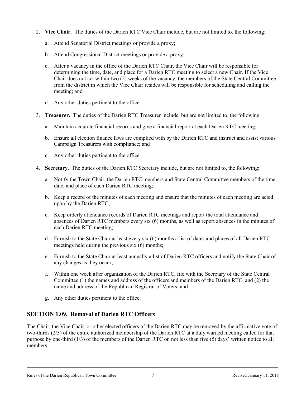- 2. **Vice Chair**. The duties of the Darien RTC Vice Chair include, but are not limited to, the following:
	- a. Attend Senatorial District meetings or provide a proxy;
	- b. Attend Congressional District meetings or provide a proxy;
	- c. After a vacancy in the office of the Darien RTC Chair, the Vice Chair will be responsible for determining the time, date, and place for a Darien RTC meeting to select a new Chair. If the Vice Chair does not act within two (2) weeks of the vacancy, the members of the State Central Committee from the district in which the Vice Chair resides will be responsible for scheduling and calling the meeting; and
	- d. Any other duties pertinent to the office.
- 3. **Treasurer.** The duties of the Darien RTC Treasurer include, but are not limited to, the following:
	- a. Maintain accurate financial records and give a financial report at each Darien RTC meeting;
	- b. Ensure all election finance laws are complied with by the Darien RTC and instruct and assist various Campaign Treasurers with compliance; and
	- c. Any other duties pertinent to the office.
- 4. **Secretary.** The duties of the Darien RTC Secretary include, but are not limited to, the following:
	- a. Notify the Town Chair, the Darien RTC members and State Central Committee members of the time, date, and place of each Darien RTC meeting;
	- b. Keep a record of the minutes of each meeting and ensure that the minutes of each meeting are acted upon by the Darien RTC;
	- c. Keep orderly attendance records of Darien RTC meetings and report the total attendance and absences of Darien RTC members every six (6) months, as well as report absences in the minutes of each Darien RTC meeting;
	- d. Furnish to the State Chair at least every six (6) months a list of dates and places of all Darien RTC meetings held during the previous six (6) months;
	- e. Furnish to the State Chair at least annually a list of Darien RTC officers and notify the State Chair of any changes as they occur;
	- f. Within one week after organization of the Darien RTC, file with the Secretary of the State Central Committee (1) the names and address of the officers and members of the Darien RTC, and (2) the name and address of the Republican Registrar of Voters; and
	- g. Any other duties pertinent to the office.

#### **SECTION 1.09. Removal of Darien RTC Officers**

The Chair, the Vice Chair, or other elected officers of the Darien RTC may be removed by the affirmative vote of two-thirds (2/3) of the entire authorized membership of the Darien RTC at a duly warned meeting called for that purpose by one-third (1/3) of the members of the Darien RTC on not less than five (5) days' written notice to all members.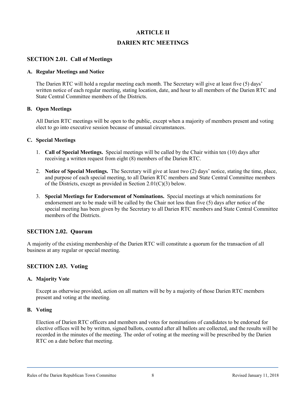# **ARTICLE II**

# **DARIEN RTC MEETINGS**

# **SECTION 2.01. Call of Meetings**

#### **A. Regular Meetings and Notice**

The Darien RTC will hold a regular meeting each month. The Secretary will give at least five (5) days' written notice of each regular meeting, stating location, date, and hour to all members of the Darien RTC and State Central Committee members of the Districts.

#### **B. Open Meetings**

All Darien RTC meetings will be open to the public, except when a majority of members present and voting elect to go into executive session because of unusual circumstances.

#### **C. Special Meetings**

- 1. **Call of Special Meetings.** Special meetings will be called by the Chair within ten (10) days after receiving a written request from eight (8) members of the Darien RTC.
- 2. **Notice of Special Meetings.** The Secretary will give at least two (2) days' notice, stating the time, place, and purpose of each special meeting, to all Darien RTC members and State Central Committee members of the Districts, except as provided in Section 2.01(C)(3) below.
- 3. **Special Meetings for Endorsement of Nominations.** Special meetings at which nominations for endorsement are to be made will be called by the Chair not less than five (5) days after notice of the special meeting has been given by the Secretary to all Darien RTC members and State Central Committee members of the Districts.

#### **SECTION 2.02. Quorum**

A majority of the existing membership of the Darien RTC will constitute a quorum for the transaction of all business at any regular or special meeting.

#### **SECTION 2.03. Voting**

#### **A. Majority Vote**

Except as otherwise provided, action on all matters will be by a majority of those Darien RTC members present and voting at the meeting.

#### **B. Voting**

Election of Darien RTC officers and members and votes for nominations of candidates to be endorsed for elective offices will be by written, signed ballots, counted after all ballots are collected, and the results will be recorded in the minutes of the meeting. The order of voting at the meeting will be prescribed by the Darien RTC on a date before that meeting.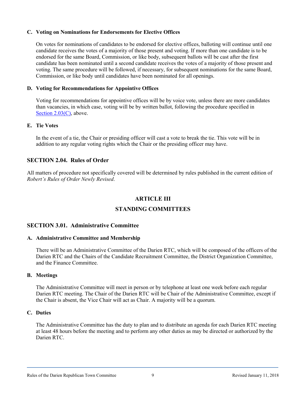#### <span id="page-12-0"></span>**C. Voting on Nominations for Endorsements for Elective Offices**

On votes for nominations of candidates to be endorsed for elective offices, balloting will continue until one candidate receives the votes of a majority of those present and voting. If more than one candidate is to be endorsed for the same Board, Commission, or like body, subsequent ballots will be cast after the first candidate has been nominated until a second candidate receives the votes of a majority of those present and voting. The same procedure will be followed, if necessary, for subsequent nominations for the same Board, Commission, or like body until candidates have been nominated for all openings.

#### **D. Voting for Recommendations for Appointive Offices**

Voting for recommendations for appointive offices will be by voice vote, unless there are more candidates than vacancies, in which case, voting will be by written ballot, following the procedure specified in Section [2.03\(C\),](#page-12-0) above.

#### **E. Tie Votes**

In the event of a tie, the Chair or presiding officer will cast a vote to break the tie. This vote will be in addition to any regular voting rights which the Chair or the presiding officer may have.

# **SECTION 2.04. Rules of Order**

All matters of procedure not specifically covered will be determined by rules published in the current edition of *Robert's Rules of Order Newly Revised*.

#### **ARTICLE III**

# **STANDING COMMITTEES**

#### **SECTION 3.01. Administrative Committee**

#### **A. Administrative Committee and Membership**

There will be an Administrative Committee of the Darien RTC, which will be composed of the officers of the Darien RTC and the Chairs of the Candidate Recruitment Committee, the District Organization Committee, and the Finance Committee.

#### **B. Meetings**

The Administrative Committee will meet in person or by telephone at least one week before each regular Darien RTC meeting. The Chair of the Darien RTC will be Chair of the Administrative Committee, except if the Chair is absent, the Vice Chair will act as Chair. A majority will be a quorum.

#### **C. Duties**

The Administrative Committee has the duty to plan and to distribute an agenda for each Darien RTC meeting at least 48 hours before the meeting and to perform any other duties as may be directed or authorized by the Darien RTC.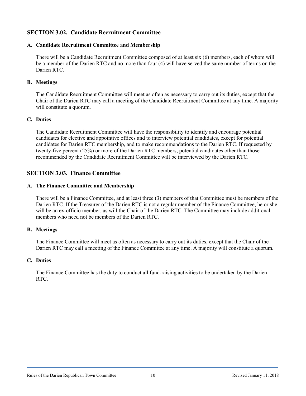# **SECTION 3.02. Candidate Recruitment Committee**

#### **A. Candidate Recruitment Committee and Membership**

There will be a Candidate Recruitment Committee composed of at least six (6) members, each of whom will be a member of the Darien RTC and no more than four (4) will have served the same number of terms on the Darien RTC.

#### **B. Meetings**

The Candidate Recruitment Committee will meet as often as necessary to carry out its duties, except that the Chair of the Darien RTC may call a meeting of the Candidate Recruitment Committee at any time. A majority will constitute a quorum.

#### **C. Duties**

The Candidate Recruitment Committee will have the responsibility to identify and encourage potential candidates for elective and appointive offices and to interview potential candidates, except for potential candidates for Darien RTC membership, and to make recommendations to the Darien RTC. If requested by twenty-five percent (25%) or more of the Darien RTC members, potential candidates other than those recommended by the Candidate Recruitment Committee will be interviewed by the Darien RTC.

# **SECTION 3.03. Finance Committee**

#### **A. The Finance Committee and Membership**

There will be a Finance Committee, and at least three (3) members of that Committee must be members of the Darien RTC. If the Treasurer of the Darien RTC is not a regular member of the Finance Committee, he or she will be an ex-officio member, as will the Chair of the Darien RTC. The Committee may include additional members who need not be members of the Darien RTC.

#### **B. Meetings**

The Finance Committee will meet as often as necessary to carry out its duties, except that the Chair of the Darien RTC may call a meeting of the Finance Committee at any time. A majority will constitute a quorum.

#### **C. Duties**

The Finance Committee has the duty to conduct all fund-raising activities to be undertaken by the Darien RTC.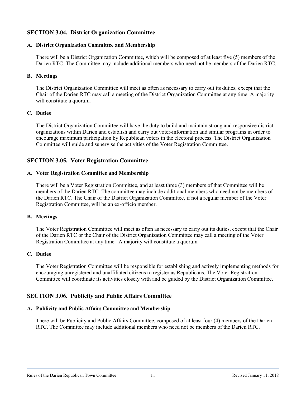# **SECTION 3.04. District Organization Committee**

#### **A. District Organization Committee and Membership**

There will be a District Organization Committee, which will be composed of at least five (5) members of the Darien RTC. The Committee may include additional members who need not be members of the Darien RTC.

#### **B. Meetings**

The District Organization Committee will meet as often as necessary to carry out its duties, except that the Chair of the Darien RTC may call a meeting of the District Organization Committee at any time. A majority will constitute a quorum.

#### **C. Duties**

The District Organization Committee will have the duty to build and maintain strong and responsive district organizations within Darien and establish and carry out voter-information and similar programs in order to encourage maximum participation by Republican voters in the electoral process. The District Organization Committee will guide and supervise the activities of the Voter Registration Committee.

#### **SECTION 3.05. Voter Registration Committee**

#### **A. Voter Registration Committee and Membership**

There will be a Voter Registration Committee, and at least three (3) members of that Committee will be members of the Darien RTC. The committee may include additional members who need not be members of the Darien RTC. The Chair of the District Organization Committee, if not a regular member of the Voter Registration Committee, will be an ex-officio member.

#### **B. Meetings**

The Voter Registration Committee will meet as often as necessary to carry out its duties, except that the Chair of the Darien RTC or the Chair of the District Organization Committee may call a meeting of the Voter Registration Committee at any time. A majority will constitute a quorum.

#### **C. Duties**

The Voter Registration Committee will be responsible for establishing and actively implementing methods for encouraging unregistered and unaffiliated citizens to register as Republicans. The Voter Registration Committee will coordinate its activities closely with and be guided by the District Organization Committee.

# **SECTION 3.06. Publicity and Public Affairs Committee**

#### **A. Publicity and Public Affairs Committee and Membership**

There will be Publicity and Public Affairs Committee, composed of at least four (4) members of the Darien RTC. The Committee may include additional members who need not be members of the Darien RTC.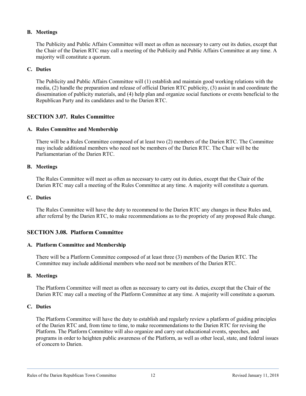#### **B. Meetings**

The Publicity and Public Affairs Committee will meet as often as necessary to carry out its duties, except that the Chair of the Darien RTC may call a meeting of the Publicity and Public Affairs Committee at any time. A majority will constitute a quorum.

#### **C. Duties**

The Publicity and Public Affairs Committee will (1) establish and maintain good working relations with the media, (2) handle the preparation and release of official Darien RTC publicity, (3) assist in and coordinate the dissemination of publicity materials, and (4) help plan and organize social functions or events beneficial to the Republican Party and its candidates and to the Darien RTC.

#### **SECTION 3.07. Rules Committee**

#### **A. Rules Committee and Membership**

There will be a Rules Committee composed of at least two (2) members of the Darien RTC. The Committee may include additional members who need not be members of the Darien RTC. The Chair will be the Parliamentarian of the Darien RTC.

#### **B. Meetings**

The Rules Committee will meet as often as necessary to carry out its duties, except that the Chair of the Darien RTC may call a meeting of the Rules Committee at any time. A majority will constitute a quorum.

#### **C. Duties**

The Rules Committee will have the duty to recommend to the Darien RTC any changes in these Rules and, after referral by the Darien RTC, to make recommendations as to the propriety of any proposed Rule change.

#### **SECTION 3.08. Platform Committee**

#### **A. Platform Committee and Membership**

There will be a Platform Committee composed of at least three (3) members of the Darien RTC. The Committee may include additional members who need not be members of the Darien RTC.

#### **B. Meetings**

The Platform Committee will meet as often as necessary to carry out its duties, except that the Chair of the Darien RTC may call a meeting of the Platform Committee at any time. A majority will constitute a quorum.

#### **C. Duties**

The Platform Committee will have the duty to establish and regularly review a platform of guiding principles of the Darien RTC and, from time to time, to make recommendations to the Darien RTC for revising the Platform. The Platform Committee will also organize and carry out educational events, speeches, and programs in order to heighten public awareness of the Platform, as well as other local, state, and federal issues of concern to Darien.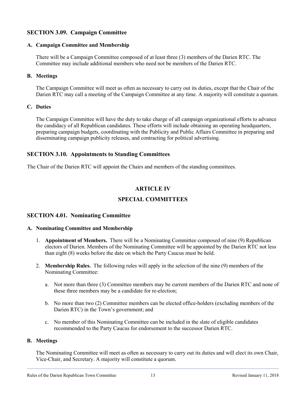# **SECTION 3.09. Campaign Committee**

#### **A. Campaign Committee and Membership**

There will be a Campaign Committee composed of at least three (3) members of the Darien RTC. The Committee may include additional members who need not be members of the Darien RTC.

#### **B. Meetings**

The Campaign Committee will meet as often as necessary to carry out its duties, except that the Chair of the Darien RTC may call a meeting of the Campaign Committee at any time. A majority will constitute a quorum.

#### **C. Duties**

The Campaign Committee will have the duty to take charge of all campaign organizational efforts to advance the candidacy of all Republican candidates. These efforts will include obtaining an operating headquarters, preparing campaign budgets, coordinating with the Publicity and Public Affairs Committee in preparing and disseminating campaign publicity releases, and contracting for political advertising.

# **SECTION 3.10. Appointments to Standing Committees**

The Chair of the Darien RTC will appoint the Chairs and members of the standing committees.

# **ARTICLE IV**

# **SPECIAL COMMITTEES**

#### <span id="page-16-0"></span>**SECTION 4.01. Nominating Committee**

#### **A. Nominating Committee and Membership**

- 1. **Appointment of Members.** There will be a Nominating Committee composed of nine (9) Republican electors of Darien. Members of the Nominating Committee will be appointed by the Darien RTC not less than eight (8) weeks before the date on which the Party Caucus must be held.
- 2. **Membership Rules.** The following rules will apply in the selection of the nine (9) members of the Nominating Committee:
	- a. Not more than three (3) Committee members may be current members of the Darien RTC and none of these three members may be a candidate for re-election;
	- b. No more than two (2) Committee members can be elected office-holders (excluding members of the Darien RTC) in the Town's government; and
	- c. No member of this Nominating Committee can be included in the slate of eligible candidates recommended to the Party Caucus for endorsement to the successor Darien RTC.

#### **B. Meetings**

The Nominating Committee will meet as often as necessary to carry out its duties and will elect its own Chair, Vice-Chair, and Secretary. A majority will constitute a quorum.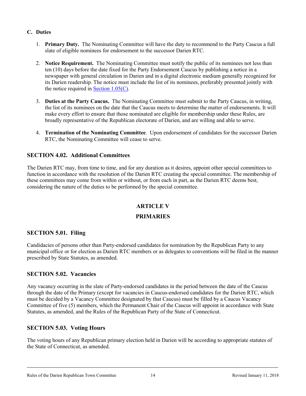# **C. Duties**

- 1. **Primary Duty.** The Nominating Committee will have the duty to recommend to the Party Caucus a full slate of eligible nominees for endorsement to the successor Darien RTC.
- 2. **Notice Requirement.** The Nominating Committee must notify the public of its nominees not less than ten (10) days before the date fixed for the Party Endorsement Caucus by publishing a notice in a newspaper with general circulation in Darien and in a digital electronic medium generally recognized for its Darien readership. The notice must include the list of its nominees, preferably presented jointly with the notice required in Section  $1.05(C)$ .
- 3. **Duties at the Party Caucus.** The Nominating Committee must submit to the Party Caucus, in writing, the list of its nominees on the date that the Caucus meets to determine the matter of endorsements. It will make every effort to ensure that those nominated are eligible for membership under these Rules, are broadly representative of the Republican electorate of Darien, and are willing and able to serve.
- 4. **Termination of the Nominating Committee**. Upon endorsement of candidates for the successor Darien RTC, the Nominating Committee will cease to serve.

# **SECTION 4.02. Additional Committees**

The Darien RTC may, from time to time, and for any duration as it desires, appoint other special committees to function in accordance with the resolution of the Darien RTC creating the special committee. The membership of these committees may come from within or without, or from each in part, as the Darien RTC deems best, considering the nature of the duties to be performed by the special committee.

# **ARTICLE V PRIMARIES**

#### **SECTION 5.01. Filing**

Candidacies of persons other than Party-endorsed candidates for nomination by the Republican Party to any municipal office or for election as Darien RTC members or as delegates to conventions will be filed in the manner prescribed by State Statutes, as amended.

#### **SECTION 5.02. Vacancies**

Any vacancy occurring in the slate of Party-endorsed candidates in the period between the date of the Caucus through the date of the Primary (except for vacancies in Caucus-endorsed candidates for the Darien RTC, which must be decided by a Vacancy Committee designated by that Caucus) must be filled by a Caucus Vacancy Committee of five (5) members, which the Permanent Chair of the Caucus will appoint in accordance with State Statutes, as amended, and the Rules of the Republican Party of the State of Connecticut.

# **SECTION 5.03. Voting Hours**

The voting hours of any Republican primary election held in Darien will be according to appropriate statutes of the State of Connecticut, as amended.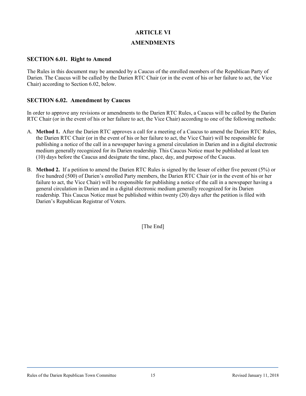# **ARTICLE VI**

#### **AMENDMENTS**

#### **SECTION 6.01. Right to Amend**

The Rules in this document may be amended by a Caucus of the enrolled members of the Republican Party of Darien. The Caucus will be called by the Darien RTC Chair (or in the event of his or her failure to act, the Vice Chair) according to Section 6.02, below.

# **SECTION 6.02. Amendment by Caucus**

In order to approve any revisions or amendments to the Darien RTC Rules, a Caucus will be called by the Darien RTC Chair (or in the event of his or her failure to act, the Vice Chair) according to one of the following methods:

- A. **Method 1.** After the Darien RTC approves a call for a meeting of a Caucus to amend the Darien RTC Rules, the Darien RTC Chair (or in the event of his or her failure to act, the Vice Chair) will be responsible for publishing a notice of the call in a newspaper having a general circulation in Darien and in a digital electronic medium generally recognized for its Darien readership. This Caucus Notice must be published at least ten (10) days before the Caucus and designate the time, place, day, and purpose of the Caucus.
- B. **Method 2.** If a petition to amend the Darien RTC Rules is signed by the lesser of either five percent (5%) or five hundred (500) of Darien's enrolled Party members, the Darien RTC Chair (or in the event of his or her failure to act, the Vice Chair) will be responsible for publishing a notice of the call in a newspaper having a general circulation in Darien and in a digital electronic medium generally recognized for its Darien readership. This Caucus Notice must be published within twenty (20) days after the petition is filed with Darien's Republican Registrar of Voters.

[The End]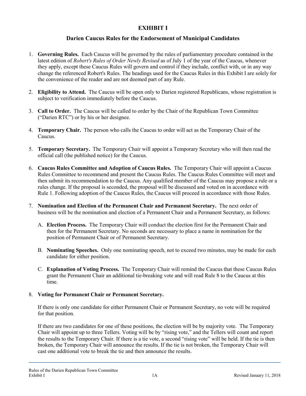# **Darien Caucus Rules for the Endorsement of Municipal Candidates**

- 1. **Governing Rules.** Each Caucus will be governed by the rules of parliamentary procedure contained in the latest edition of *Robert's Rules of Order Newly Revised* as of July 1 of the year of the Caucus, whenever they apply, except these Caucus Rules will govern and control if they include, conflict with, or in any way change the referenced Robert's Rules. The headings used for the Caucus Rules in this Exhibit I are solely for the convenience of the reader and are not deemed part of any Rule.
- 2. **Eligibility to Attend.** The Caucus will be open only to Darien registered Republicans, whose registration is subject to verification immediately before the Caucus.
- 3. **Call to Order.** The Caucus will be called to order by the Chair of the Republican Town Committee ("Darien RTC") or by his or her designee.
- 4. **Temporary Chair.** The person who calls the Caucus to order will act as the Temporary Chair of the Caucus.
- 5. **Temporary Secretary.** The Temporary Chair will appoint a Temporary Secretary who will then read the official call (the published notice) for the Caucus.
- 6. **Caucus Rules Committee and Adoption of Caucus Rules.** The Temporary Chair will appoint a Caucus Rules Committee to recommend and present the Caucus Rules. The Caucus Rules Committee will meet and then submit its recommendation to the Caucus. Any qualified member of the Caucus may propose a rule or a rules change. If the proposal is seconded, the proposal will be discussed and voted on in accordance with Rule 1. Following adoption of the Caucus Rules, the Caucus will proceed in accordance with those Rules.
- 7. **Nomination and Election of the Permanent Chair and Permanent Secretary.** The next order of business will be the nomination and election of a Permanent Chair and a Permanent Secretary, as follows:
	- A. **Election Process.** The Temporary Chair will conduct the election first for the Permanent Chair and then for the Permanent Secretary. No seconds are necessary to place a name in nomination for the position of Permanent Chair or of Permanent Secretary.
	- B. **Nominating Speeches.** Only one nominating speech, not to exceed two minutes, may be made for each candidate for either position.
	- C. **Explanation of Voting Process.** The Temporary Chair will remind the Caucus that these Caucus Rules grant the Permanent Chair an additional tie-breaking vote and will read Rule 8 to the Caucus at this time.

#### 8. **Voting for Permanent Chair or Permanent Secretary.**

If there is only one candidate for either Permanent Chair or Permanent Secretary, no vote will be required for that position.

If there are two candidates for one of these positions, the election will be by majority vote. The Temporary Chair will appoint up to three Tellers. Voting will be by "rising vote," and the Tellers will count and report the results to the Temporary Chair. If there is a tie vote, a second "rising vote" will be held. If the tie is then broken, the Temporary Chair will announce the results. If the tie is not broken, the Temporary Chair will cast one additional vote to break the tie and then announce the results.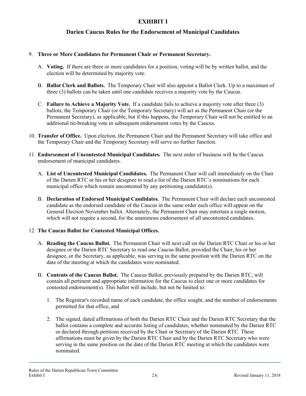# **Darien Caucus Rules for the Endorsement of Municipal Candidates**

#### 9. **Three or More Candidates for Permanent Chair or Permanent Secretary.**

- A. **Voting.** If there are three or more candidates for a position, voting will be by written ballot, and the election will be determined by majority vote.
- B. **Ballot Clerk and Ballots.** The Temporary Chair will also appoint a Ballot Clerk. Up to a maximum of three (3) ballots can be taken until one candidate receives a majority vote by the Caucus.
- C. **Failure to Achieve a Majority Vote.** If a candidate fails to achieve a majority vote after three (3) ballots, the Temporary Chair (or the Temporary Secretary) will act as the Permanent Chair (or the Permanent Secretary), as applicable, but if this happens, the Temporary Chair will not be entitled to an additional tie-breaking vote in subsequent endorsement votes by the Caucus.
- 10. **Transfer of Office.** Upon election, the Permanent Chair and the Permanent Secretary will take office and the Temporary Chair and the Temporary Secretary will serve no further function.
- 11. **Endorsement of Uncontested Municipal Candidates.** The next order of business will be the Caucus endorsement of municipal candidates.
	- A. **List of Uncontested Municipal Candidates.** The Permanent Chair will call immediately on the Chair of the Darien RTC or his or her designee to read a list of the Darien RTC's nominations for each municipal office which remain uncontested by any petitioning candidate(s).
	- B. **Declaration of Endorsed Municipal Candidates.** The Permanent Chair will declare each uncontested candidate as the endorsed candidate of the Caucus in the same order each office will appear on the General Election November ballot. Alternately, the Permanent Chair may entertain a single motion, which will not require a second, for the unanimous endorsement of all uncontested candidates.

#### 12. **The Caucus Ballot for Contested Municipal Offices.**

- A. **Reading the Caucus Ballot.** The Permanent Chair will next call on the Darien RTC Chair or his or her designee or the Darien RTC Secretary to read one Caucus Ballot, provided the Chair, his or her designee, or the Secretary, as applicable, was serving in the same position with the Darien RTC on the date of the meeting at which the candidates were nominated.
- B. **Contents of the Caucus Ballot.** The Caucus Ballot, previously prepared by the Darien RTC, will contain all pertinent and appropriate information for the Caucus to elect one or more candidates for contested endorsement(s). This ballot will include, but not be limited to:
	- 1. The Registrar's recorded name of each candidate, the office sought, and the number of endorsements permitted for that office, and
	- 2. The signed, dated affirmations of both the Darien RTC Chair and the Darien RTC Secretary that the ballot contains a complete and accurate listing of candidates, whether nominated by the Darien RTC or declared through petitions received by the Chair or Secretary of the Darien RTC. These affirmations must be given by the Darien RTC Chair and by the Darien RTC Secretary who were serving in the same position on the date of the Darien RTC meeting at which the candidates were nominated.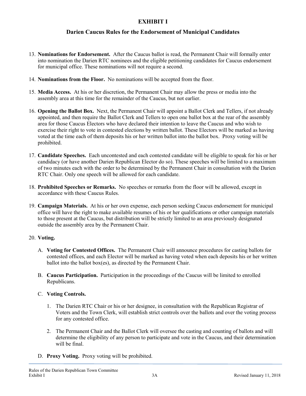# **Darien Caucus Rules for the Endorsement of Municipal Candidates**

- 13. **Nominations for Endorsement.** After the Caucus ballot is read, the Permanent Chair will formally enter into nomination the Darien RTC nominees and the eligible petitioning candidates for Caucus endorsement for municipal office. These nominations will not require a second.
- 14. **Nominations from the Floor.** No nominations will be accepted from the floor.
- 15. **Media Access.** At his or her discretion, the Permanent Chair may allow the press or media into the assembly area at this time for the remainder of the Caucus, but not earlier.
- 16. **Opening the Ballot Box.** Next, the Permanent Chair will appoint a Ballot Clerk and Tellers, if not already appointed, and then require the Ballot Clerk and Tellers to open one ballot box at the rear of the assembly area for those Caucus Electors who have declared their intention to leave the Caucus and who wish to exercise their right to vote in contested elections by written ballot. These Electors will be marked as having voted at the time each of them deposits his or her written ballot into the ballot box. Proxy voting will be prohibited.
- 17. **Candidate Speeches.** Each uncontested and each contested candidate will be eligible to speak for his or her candidacy (or have another Darien Republican Elector do so). These speeches will be limited to a maximum of two minutes each with the order to be determined by the Permanent Chair in consultation with the Darien RTC Chair. Only one speech will be allowed for each candidate.
- 18. **Prohibited Speeches or Remarks.** No speeches or remarks from the floor will be allowed, except in accordance with these Caucus Rules.
- 19. **Campaign Materials.** At his or her own expense, each person seeking Caucus endorsement for municipal office will have the right to make available resumes of his or her qualifications or other campaign materials to those present at the Caucus, but distribution will be strictly limited to an area previously designated outside the assembly area by the Permanent Chair.

#### 20. **Voting.**

- A. **Voting for Contested Offices.** The Permanent Chair will announce procedures for casting ballots for contested offices, and each Elector will be marked as having voted when each deposits his or her written ballot into the ballot box(es), as directed by the Permanent Chair.
- B. **Caucus Participation.** Participation in the proceedings of the Caucus will be limited to enrolled Republicans.

#### C. **Voting Controls.**

- 1. The Darien RTC Chair or his or her designee, in consultation with the Republican Registrar of Voters and the Town Clerk, will establish strict controls over the ballots and over the voting process for any contested office.
- 2. The Permanent Chair and the Ballot Clerk will oversee the casting and counting of ballots and will determine the eligibility of any person to participate and vote in the Caucus, and their determination will be final.
- D. **Proxy Voting.** Proxy voting will be prohibited.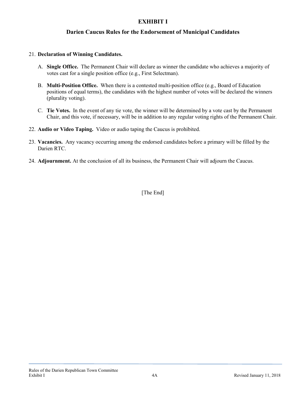# **Darien Caucus Rules for the Endorsement of Municipal Candidates**

#### 21. **Declaration of Winning Candidates.**

- A. **Single Office.** The Permanent Chair will declare as winner the candidate who achieves a majority of votes cast for a single position office (e.g., First Selectman).
- B. **Multi-Position Office.** When there is a contested multi-position office (e.g., Board of Education positions of equal terms), the candidates with the highest number of votes will be declared the winners (plurality voting).
- C. **Tie Votes.** In the event of any tie vote, the winner will be determined by a vote cast by the Permanent Chair, and this vote, if necessary, will be in addition to any regular voting rights of the Permanent Chair.
- 22. **Audio or Video Taping.** Video or audio taping the Caucus is prohibited.
- 23. **Vacancies.** Any vacancy occurring among the endorsed candidates before a primary will be filled by the Darien RTC.
- 24. **Adjournment.** At the conclusion of all its business, the Permanent Chair will adjourn the Caucus.

[The End]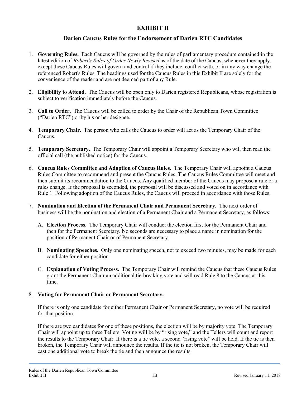# **Darien Caucus Rules for the Endorsement of Darien RTC Candidates**

- 1. **Governing Rules.** Each Caucus will be governed by the rules of parliamentary procedure contained in the latest edition of *Robert's Rules of Order Newly Revised* as of the date of the Caucus, whenever they apply, except these Caucus Rules will govern and control if they include, conflict with, or in any way change the referenced Robert's Rules. The headings used for the Caucus Rules in this Exhibit II are solely for the convenience of the reader and are not deemed part of any Rule.
- 2. **Eligibility to Attend.** The Caucus will be open only to Darien registered Republicans, whose registration is subject to verification immediately before the Caucus.
- 3. **Call to Order.** The Caucus will be called to order by the Chair of the Republican Town Committee ("Darien RTC") or by his or her designee.
- 4. **Temporary Chair.** The person who calls the Caucus to order will act as the Temporary Chair of the Caucus.
- 5. **Temporary Secretary.** The Temporary Chair will appoint a Temporary Secretary who will then read the official call (the published notice) for the Caucus.
- 6. **Caucus Rules Committee and Adoption of Caucus Rules.** The Temporary Chair will appoint a Caucus Rules Committee to recommend and present the Caucus Rules. The Caucus Rules Committee will meet and then submit its recommendation to the Caucus. Any qualified member of the Caucus may propose a rule or a rules change. If the proposal is seconded, the proposal will be discussed and voted on in accordance with Rule 1. Following adoption of the Caucus Rules, the Caucus will proceed in accordance with those Rules.
- 7. **Nomination and Election of the Permanent Chair and Permanent Secretary.** The next order of business will be the nomination and election of a Permanent Chair and a Permanent Secretary, as follows:
	- A. **Election Process.** The Temporary Chair will conduct the election first for the Permanent Chair and then for the Permanent Secretary. No seconds are necessary to place a name in nomination for the position of Permanent Chair or of Permanent Secretary.
	- B. **Nominating Speeches.** Only one nominating speech, not to exceed two minutes, may be made for each candidate for either position.
	- C. **Explanation of Voting Process.** The Temporary Chair will remind the Caucus that these Caucus Rules grant the Permanent Chair an additional tie-breaking vote and will read Rule 8 to the Caucus at this time.

#### 8. **Voting for Permanent Chair or Permanent Secretary.**

If there is only one candidate for either Permanent Chair or Permanent Secretary, no vote will be required for that position.

If there are two candidates for one of these positions, the election will be by majority vote. The Temporary Chair will appoint up to three Tellers. Voting will be by "rising vote," and the Tellers will count and report the results to the Temporary Chair. If there is a tie vote, a second "rising vote" will be held. If the tie is then broken, the Temporary Chair will announce the results. If the tie is not broken, the Temporary Chair will cast one additional vote to break the tie and then announce the results.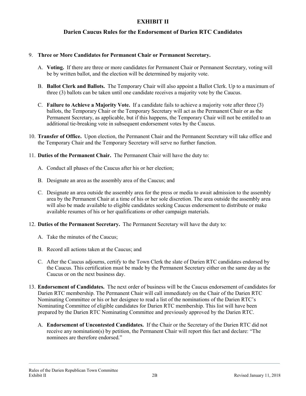# **Darien Caucus Rules for the Endorsement of Darien RTC Candidates**

#### 9. **Three or More Candidates for Permanent Chair or Permanent Secretary.**

- A. **Voting.** If there are three or more candidates for Permanent Chair or Permanent Secretary, voting will be by written ballot, and the election will be determined by majority vote.
- B. **Ballot Clerk and Ballots.** The Temporary Chair will also appoint a Ballot Clerk. Up to a maximum of three (3) ballots can be taken until one candidate receives a majority vote by the Caucus.
- C. **Failure to Achieve a Majority Vote.** If a candidate fails to achieve a majority vote after three (3) ballots, the Temporary Chair or the Temporary Secretary will act as the Permanent Chair or as the Permanent Secretary, as applicable, but if this happens, the Temporary Chair will not be entitled to an additional tie-breaking vote in subsequent endorsement votes by the Caucus.
- 10. **Transfer of Office.** Upon election, the Permanent Chair and the Permanent Secretary will take office and the Temporary Chair and the Temporary Secretary will serve no further function.
- 11. **Duties of the Permanent Chair.** The Permanent Chair will have the duty to:
	- A. Conduct all phases of the Caucus after his or her election;
	- B. Designate an area as the assembly area of the Caucus; and
	- C. Designate an area outside the assembly area for the press or media to await admission to the assembly area by the Permanent Chair at a time of his or her sole discretion. The area outside the assembly area will also be made available to eligible candidates seeking Caucus endorsement to distribute or make available resumes of his or her qualifications or other campaign materials.
- 12. **Duties of the Permanent Secretary.** The Permanent Secretary will have the duty to:
	- A. Take the minutes of the Caucus;
	- B. Record all actions taken at the Caucus; and
	- C. After the Caucus adjourns, certify to the Town Clerk the slate of Darien RTC candidates endorsed by the Caucus. This certification must be made by the Permanent Secretary either on the same day as the Caucus or on the next business day.
- 13. **Endorsement of Candidates.** The next order of business will be the Caucus endorsement of candidates for Darien RTC membership. The Permanent Chair will call immediately on the Chair of the Darien RTC Nominating Committee or his or her designee to read a list of the nominations of the Darien RTC's Nominating Committee of eligible candidates for Darien RTC membership. This list will have been prepared by the Darien RTC Nominating Committee and previously approved by the Darien RTC.
	- A. **Endorsement of Uncontested Candidates.** If the Chair or the Secretary of the Darien RTC did not receive any nomination(s) by petition, the Permanent Chair will report this fact and declare: "The nominees are therefore endorsed."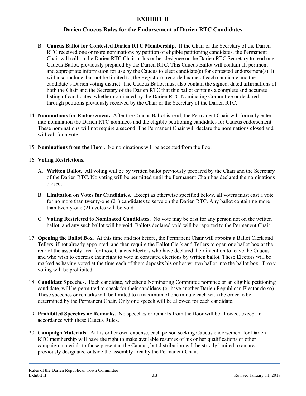# **Darien Caucus Rules for the Endorsement of Darien RTC Candidates**

- B. **Caucus Ballot for Contested Darien RTC Membership.** If the Chair or the Secretary of the Darien RTC received one or more nominations by petition of eligible petitioning candidates, the Permanent Chair will call on the Darien RTC Chair or his or her designee or the Darien RTC Secretary to read one Caucus Ballot, previously prepared by the Darien RTC. This Caucus Ballot will contain all pertinent and appropriate information for use by the Caucus to elect candidate(s) for contested endorsement(s). It will also include, but not be limited to, the Registrar's recorded name of each candidate and the candidate's Darien voting district. The Caucus Ballot must also contain the signed, dated affirmations of both the Chair and the Secretary of the Darien RTC that this ballot contains a complete and accurate listing of candidates, whether nominated by the Darien RTC Nominating Committee or declared through petitions previously received by the Chair or the Secretary of the Darien RTC.
- 14. **Nominations for Endorsement.** After the Caucus Ballot is read, the Permanent Chair will formally enter into nomination the Darien RTC nominees and the eligible petitioning candidates for Caucus endorsement. These nominations will not require a second. The Permanent Chair will declare the nominations closed and will call for a vote.
- 15. **Nominations from the Floor.** No nominations will be accepted from the floor.

#### 16. **Voting Restrictions.**

- A. **Written Ballot.** All voting will be by written ballot previously prepared by the Chair and the Secretary of the Darien RTC. No voting will be permitted until the Permanent Chair has declared the nominations closed.
- B. **Limitation on Votes for Candidates.** Except as otherwise specified below, all voters must cast a vote for no more than twenty-one (21) candidates to serve on the Darien RTC. Any ballot containing more than twenty-one (21) votes will be void.
- C. **Voting Restricted to Nominated Candidates.** No vote may be cast for any person not on the written ballot, and any such ballot will be void. Ballots declared void will be reported to the Permanent Chair.
- 17. **Opening the Ballot Box.** At this time and not before, the Permanent Chair will appoint a Ballot Clerk and Tellers, if not already appointed, and then require the Ballot Clerk and Tellers to open one ballot box at the rear of the assembly area for those Caucus Electors who have declared their intention to leave the Caucus and who wish to exercise their right to vote in contested elections by written ballot. These Electors will be marked as having voted at the time each of them deposits his or her written ballot into the ballot box. Proxy voting will be prohibited.
- 18. **Candidate Speeches.** Each candidate, whether a Nominating Committee nominee or an eligible petitioning candidate, will be permitted to speak for their candidacy (or have another Darien Republican Elector do so). These speeches or remarks will be limited to a maximum of one minute each with the order to be determined by the Permanent Chair. Only one speech will be allowed for each candidate.
- 19. **Prohibited Speeches or Remarks.** No speeches or remarks from the floor will be allowed, except in accordance with these Caucus Rules.
- 20. **Campaign Materials.** At his or her own expense, each person seeking Caucus endorsement for Darien RTC membership will have the right to make available resumes of his or her qualifications or other campaign materials to those present at the Caucus, but distribution will be strictly limited to an area previously designated outside the assembly area by the Permanent Chair.